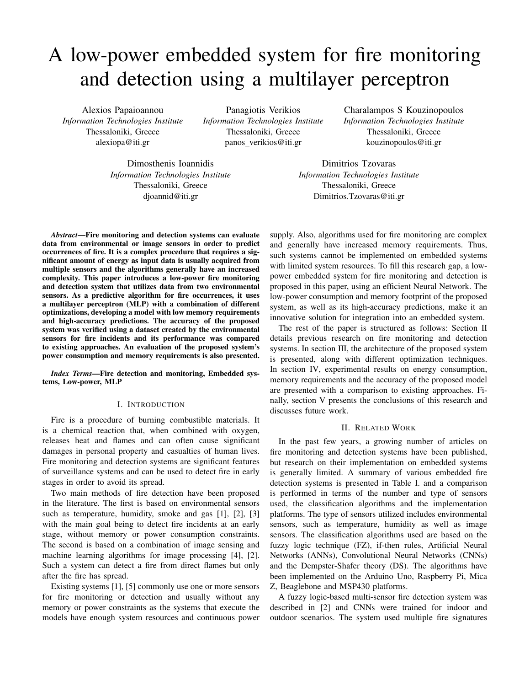# A low-power embedded system for fire monitoring and detection using a multilayer perceptron

Alexios Papaioannou *Information Technologies Institute* Thessaloniki, Greece alexiopa@iti.gr

Panagiotis Verikios *Information Technologies Institute* Thessaloniki, Greece panos\_verikios@iti.gr

Charalampos S Kouzinopoulos *Information Technologies Institute* Thessaloniki, Greece kouzinopoulos@iti.gr

Dimosthenis Ioannidis *Information Technologies Institute* Thessaloniki, Greece djoannid@iti.gr

Dimitrios Tzovaras *Information Technologies Institute* Thessaloniki, Greece Dimitrios.Tzovaras@iti.gr

*Abstract*—Fire monitoring and detection systems can evaluate data from environmental or image sensors in order to predict occurrences of fire. It is a complex procedure that requires a significant amount of energy as input data is usually acquired from multiple sensors and the algorithms generally have an increased complexity. This paper introduces a low-power fire monitoring and detection system that utilizes data from two environmental sensors. As a predictive algorithm for fire occurrences, it uses a multilayer perceptron (MLP) with a combination of different optimizations, developing a model with low memory requirements and high-accuracy predictions. The accuracy of the proposed system was verified using a dataset created by the environmental sensors for fire incidents and its performance was compared to existing approaches. An evaluation of the proposed system's power consumption and memory requirements is also presented.

*Index Terms*—Fire detection and monitoring, Embedded systems, Low-power, MLP

### I. INTRODUCTION

Fire is a procedure of burning combustible materials. It is a chemical reaction that, when combined with oxygen, releases heat and flames and can often cause significant damages in personal property and casualties of human lives. Fire monitoring and detection systems are significant features of surveillance systems and can be used to detect fire in early stages in order to avoid its spread.

Two main methods of fire detection have been proposed in the literature. The first is based on environmental sensors such as temperature, humidity, smoke and gas [1], [2], [3] with the main goal being to detect fire incidents at an early stage, without memory or power consumption constraints. The second is based on a combination of image sensing and machine learning algorithms for image processing [4], [2]. Such a system can detect a fire from direct flames but only after the fire has spread.

Existing systems [1], [5] commonly use one or more sensors for fire monitoring or detection and usually without any memory or power constraints as the systems that execute the models have enough system resources and continuous power supply. Also, algorithms used for fire monitoring are complex and generally have increased memory requirements. Thus, such systems cannot be implemented on embedded systems with limited system resources. To fill this research gap, a lowpower embedded system for fire monitoring and detection is proposed in this paper, using an efficient Neural Network. The low-power consumption and memory footprint of the proposed system, as well as its high-accuracy predictions, make it an innovative solution for integration into an embedded system.

The rest of the paper is structured as follows: Section II details previous research on fire monitoring and detection systems. In section III, the architecture of the proposed system is presented, along with different optimization techniques. In section IV, experimental results on energy consumption, memory requirements and the accuracy of the proposed model are presented with a comparison to existing approaches. Finally, section V presents the conclusions of this research and discusses future work.

# II. RELATED WORK

In the past few years, a growing number of articles on fire monitoring and detection systems have been published, but research on their implementation on embedded systems is generally limited. A summary of various embedded fire detection systems is presented in Table I. and a comparison is performed in terms of the number and type of sensors used, the classification algorithms and the implementation platforms. The type of sensors utilized includes environmental sensors, such as temperature, humidity as well as image sensors. The classification algorithms used are based on the fuzzy logic technique (FZ), if-then rules, Artificial Neural Networks (ANNs), Convolutional Neural Networks (CNNs) and the Dempster-Shafer theory (DS). The algorithms have been implemented on the Arduino Uno, Raspberry Pi, Mica Z, Beaglebone and MSP430 platforms.

A fuzzy logic-based multi-sensor fire detection system was described in [2] and CNNs were trained for indoor and outdoor scenarios. The system used multiple fire signatures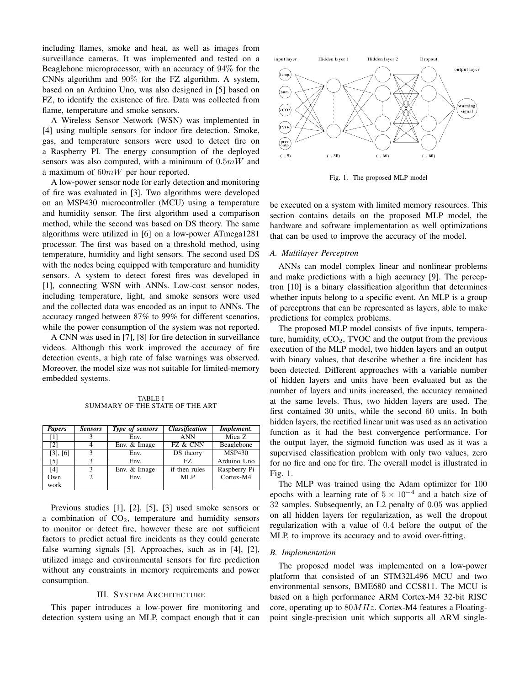including flames, smoke and heat, as well as images from surveillance cameras. It was implemented and tested on a Beaglebone microprocessor, with an accuracy of 94% for the CNNs algorithm and 90% for the FZ algorithm. A system, based on an Arduino Uno, was also designed in [5] based on FZ, to identify the existence of fire. Data was collected from flame, temperature and smoke sensors.

A Wireless Sensor Network (WSN) was implemented in [4] using multiple sensors for indoor fire detection. Smoke, gas, and temperature sensors were used to detect fire on a Raspberry PI. The energy consumption of the deployed sensors was also computed, with a minimum of  $0.5mW$  and a maximum of  $60mW$  per hour reported.

A low-power sensor node for early detection and monitoring of fire was evaluated in [3]. Two algorithms were developed on an MSP430 microcontroller (MCU) using a temperature and humidity sensor. The first algorithm used a comparison method, while the second was based on DS theory. The same algorithms were utilized in [6] on a low-power ATmega1281 processor. The first was based on a threshold method, using temperature, humidity and light sensors. The second used DS with the nodes being equipped with temperature and humidity sensors. A system to detect forest fires was developed in [1], connecting WSN with ANNs. Low-cost sensor nodes, including temperature, light, and smoke sensors were used and the collected data was encoded as an input to ANNs. The accuracy ranged between 87% to 99% for different scenarios, while the power consumption of the system was not reported.

A CNN was used in [7], [8] for fire detection in surveillance videos. Although this work improved the accuracy of fire detection events, a high rate of false warnings was observed. Moreover, the model size was not suitable for limited-memory embedded systems.

TABLE I SUMMARY OF THE STATE OF THE ART

| <b>Papers</b>     | <b>Sensors</b> | Type of sensors | <b>Classification</b> | Implement.    |
|-------------------|----------------|-----------------|-----------------------|---------------|
| $\lceil 1 \rceil$ |                | Env.            | <b>ANN</b>            | Mica Z        |
| $\lceil 2 \rceil$ |                | Env. & Image    | FZ & CNN              | Beaglebone    |
| $[3]$ , $[6]$     |                | Env.            | DS theory             | <b>MSP430</b> |
| [5]               |                | Env.            | FZ.                   | Arduino Uno   |
| [4]               | κ              | Env. & Image    | if-then rules         | Raspberry Pi  |
| Own               | 2              | Env.            | MLP                   | Cortex-M4     |
| work              |                |                 |                       |               |

Previous studies [1], [2], [5], [3] used smoke sensors or a combination of  $CO<sub>2</sub>$ , temperature and humidity sensors to monitor or detect fire, however these are not sufficient factors to predict actual fire incidents as they could generate false warning signals [5]. Approaches, such as in [4], [2], utilized image and environmental sensors for fire prediction without any constraints in memory requirements and power consumption.

# III. SYSTEM ARCHITECTURE

This paper introduces a low-power fire monitoring and detection system using an MLP, compact enough that it can



Fig. 1. The proposed MLP model

be executed on a system with limited memory resources. This section contains details on the proposed MLP model, the hardware and software implementation as well optimizations that can be used to improve the accuracy of the model.

#### *A. Multilayer Perceptron*

ANNs can model complex linear and nonlinear problems and make predictions with a high accuracy [9]. The perceptron [10] is a binary classification algorithm that determines whether inputs belong to a specific event. An MLP is a group of perceptrons that can be represented as layers, able to make predictions for complex problems.

The proposed MLP model consists of five inputs, temperature, humidity,  $eCO<sub>2</sub>$ , TVOC and the output from the previous execution of the MLP model, two hidden layers and an output with binary values, that describe whether a fire incident has been detected. Different approaches with a variable number of hidden layers and units have been evaluated but as the number of layers and units increased, the accuracy remained at the same levels. Thus, two hidden layers are used. The first contained 30 units, while the second 60 units. In both hidden layers, the rectified linear unit was used as an activation function as it had the best convergence performance. For the output layer, the sigmoid function was used as it was a supervised classification problem with only two values, zero for no fire and one for fire. The overall model is illustrated in Fig. 1.

The MLP was trained using the Adam optimizer for 100 epochs with a learning rate of  $5 \times 10^{-4}$  and a batch size of 32 samples. Subsequently, an L2 penalty of 0.05 was applied on all hidden layers for regularization, as well the dropout regularization with a value of 0.4 before the output of the MLP, to improve its accuracy and to avoid over-fitting.

# *B. Implementation*

The proposed model was implemented on a low-power platform that consisted of an STM32L496 MCU and two environmental sensors, BME680 and CCS811. The MCU is based on a high performance ARM Cortex-M4 32-bit RISC core, operating up to  $80MHz$ . Cortex-M4 features a Floatingpoint single-precision unit which supports all ARM single-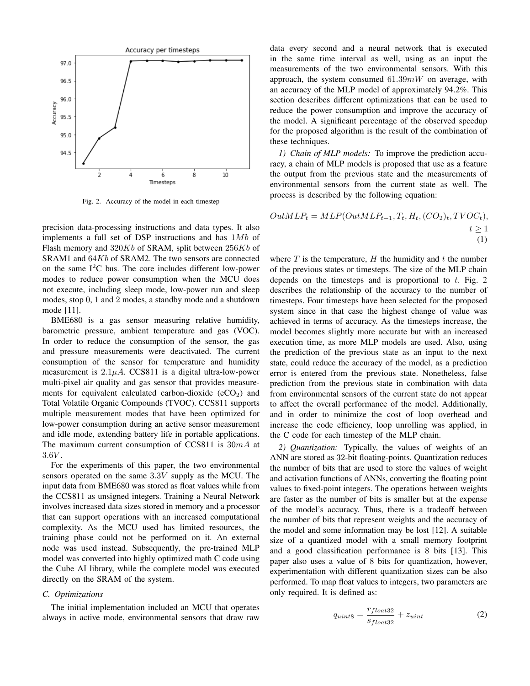

Fig. 2. Accuracy of the model in each timestep

precision data-processing instructions and data types. It also implements a full set of DSP instructions and has  $1Mb$  of Flash memory and  $320Kb$  of SRAM, split between  $256Kb$  of SRAM1 and 64Kb of SRAM2. The two sensors are connected on the same  $I<sup>2</sup>C$  bus. The core includes different low-power modes to reduce power consumption when the MCU does not execute, including sleep mode, low-power run and sleep modes, stop 0, 1 and 2 modes, a standby mode and a shutdown mode [11].

BME680 is a gas sensor measuring relative humidity, barometric pressure, ambient temperature and gas (VOC). In order to reduce the consumption of the sensor, the gas and pressure measurements were deactivated. The current consumption of the sensor for temperature and humidity measurement is  $2.1\mu A$ . CCS811 is a digital ultra-low-power multi-pixel air quality and gas sensor that provides measurements for equivalent calculated carbon-dioxide  $(eCO<sub>2</sub>)$  and Total Volatile Organic Compounds (TVOC). CCS811 supports multiple measurement modes that have been optimized for low-power consumption during an active sensor measurement and idle mode, extending battery life in portable applications. The maximum current consumption of CCS811 is  $30mA$  at  $3.6V$ .

For the experiments of this paper, the two environmental sensors operated on the same 3.3V supply as the MCU. The input data from BME680 was stored as float values while from the CCS811 as unsigned integers. Training a Neural Network involves increased data sizes stored in memory and a processor that can support operations with an increased computational complexity. As the MCU used has limited resources, the training phase could not be performed on it. An external node was used instead. Subsequently, the pre-trained MLP model was converted into highly optimized math C code using the Cube AI library, while the complete model was executed directly on the SRAM of the system.

# *C. Optimizations*

The initial implementation included an MCU that operates always in active mode, environmental sensors that draw raw data every second and a neural network that is executed in the same time interval as well, using as an input the measurements of the two environmental sensors. With this approach, the system consumed  $61.39mW$  on average, with an accuracy of the MLP model of approximately 94.2%. This section describes different optimizations that can be used to reduce the power consumption and improve the accuracy of the model. A significant percentage of the observed speedup for the proposed algorithm is the result of the combination of these techniques.

*1) Chain of MLP models:* To improve the prediction accuracy, a chain of MLP models is proposed that use as a feature the output from the previous state and the measurements of environmental sensors from the current state as well. The process is described by the following equation:

$$
OutMLP_t = MLP(OutMLP_{t-1}, T_t, H_t, (CO_2)_t, TVOC_t),
$$
  

$$
t \ge 1
$$
  
(1)

where  $T$  is the temperature,  $H$  the humidity and  $t$  the number of the previous states or timesteps. The size of the MLP chain depends on the timesteps and is proportional to  $t$ . Fig. 2 describes the relationship of the accuracy to the number of timesteps. Four timesteps have been selected for the proposed system since in that case the highest change of value was achieved in terms of accuracy. As the timesteps increase, the model becomes slightly more accurate but with an increased execution time, as more MLP models are used. Also, using the prediction of the previous state as an input to the next state, could reduce the accuracy of the model, as a prediction error is entered from the previous state. Nonetheless, false prediction from the previous state in combination with data from environmental sensors of the current state do not appear to affect the overall performance of the model. Additionally, and in order to minimize the cost of loop overhead and increase the code efficiency, loop unrolling was applied, in the C code for each timestep of the MLP chain.

*2) Quantization:* Typically, the values of weights of an ANN are stored as 32-bit floating-points. Quantization reduces the number of bits that are used to store the values of weight and activation functions of ANNs, converting the floating point values to fixed-point integers. The operations between weights are faster as the number of bits is smaller but at the expense of the model's accuracy. Thus, there is a tradeoff between the number of bits that represent weights and the accuracy of the model and some information may be lost [12]. A suitable size of a quantized model with a small memory footprint and a good classification performance is 8 bits [13]. This paper also uses a value of 8 bits for quantization, however, experimentation with different quantization sizes can be also performed. To map float values to integers, two parameters are only required. It is defined as:

$$
q_{uint8} = \frac{r_{float32}}{s_{float32}} + z_{uint}
$$
 (2)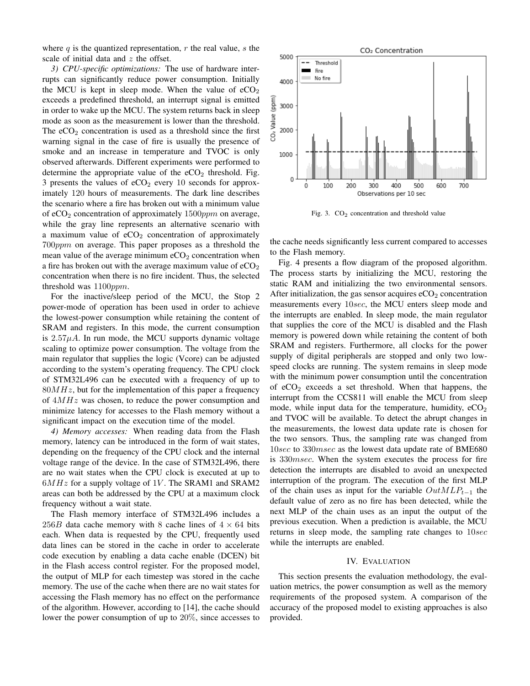where  $q$  is the quantized representation,  $r$  the real value,  $s$  the scale of initial data and z the offset.

*3) CPU-specific optimizations:* The use of hardware interrupts can significantly reduce power consumption. Initially the MCU is kept in sleep mode. When the value of  $eCO<sub>2</sub>$ exceeds a predefined threshold, an interrupt signal is emitted in order to wake up the MCU. The system returns back in sleep mode as soon as the measurement is lower than the threshold. The  $eCO<sub>2</sub>$  concentration is used as a threshold since the first warning signal in the case of fire is usually the presence of smoke and an increase in temperature and TVOC is only observed afterwards. Different experiments were performed to determine the appropriate value of the  $eCO<sub>2</sub>$  threshold. Fig. 3 presents the values of  $eCO<sub>2</sub>$  every 10 seconds for approximately 120 hours of measurements. The dark line describes the scenario where a fire has broken out with a minimum value of  $eCO<sub>2</sub>$  concentration of approximately  $1500 ppm$  on average, while the gray line represents an alternative scenario with a maximum value of  $eCO<sub>2</sub>$  concentration of approximately 700ppm on average. This paper proposes as a threshold the mean value of the average minimum  $eCO<sub>2</sub>$  concentration when a fire has broken out with the average maximum value of  $eCO<sub>2</sub>$ concentration when there is no fire incident. Thus, the selected threshold was  $1100 ppm$ .

For the inactive/sleep period of the MCU, the Stop 2 power-mode of operation has been used in order to achieve the lowest-power consumption while retaining the content of SRAM and registers. In this mode, the current consumption is  $2.57\mu A$ . In run mode, the MCU supports dynamic voltage scaling to optimize power consumption. The voltage from the main regulator that supplies the logic (Vcore) can be adjusted according to the system's operating frequency. The CPU clock of STM32L496 can be executed with a frequency of up to  $80MHz$ , but for the implementation of this paper a frequency of  $4MHz$  was chosen, to reduce the power consumption and minimize latency for accesses to the Flash memory without a significant impact on the execution time of the model.

*4) Memory accesses:* When reading data from the Flash memory, latency can be introduced in the form of wait states, depending on the frequency of the CPU clock and the internal voltage range of the device. In the case of STM32L496, there are no wait states when the CPU clock is executed at up to  $6MHz$  for a supply voltage of 1V. The SRAM1 and SRAM2 areas can both be addressed by the CPU at a maximum clock frequency without a wait state.

The Flash memory interface of STM32L496 includes a 256B data cache memory with 8 cache lines of  $4 \times 64$  bits each. When data is requested by the CPU, frequently used data lines can be stored in the cache in order to accelerate code execution by enabling a data cache enable (DCEN) bit in the Flash access control register. For the proposed model, the output of MLP for each timestep was stored in the cache memory. The use of the cache when there are no wait states for accessing the Flash memory has no effect on the performance of the algorithm. However, according to [14], the cache should lower the power consumption of up to 20%, since accesses to



Fig. 3.  $CO<sub>2</sub>$  concentration and threshold value

the cache needs significantly less current compared to accesses to the Flash memory.

Fig. 4 presents a flow diagram of the proposed algorithm. The process starts by initializing the MCU, restoring the static RAM and initializing the two environmental sensors. After initialization, the gas sensor acquires  $eCO<sub>2</sub>$  concentration measurements every 10sec, the MCU enters sleep mode and the interrupts are enabled. In sleep mode, the main regulator that supplies the core of the MCU is disabled and the Flash memory is powered down while retaining the content of both SRAM and registers. Furthermore, all clocks for the power supply of digital peripherals are stopped and only two lowspeed clocks are running. The system remains in sleep mode with the minimum power consumption until the concentration of  $eCO<sub>2</sub>$  exceeds a set threshold. When that happens, the interrupt from the CCS811 will enable the MCU from sleep mode, while input data for the temperature, humidity,  $eCO<sub>2</sub>$ and TVOC will be available. To detect the abrupt changes in the measurements, the lowest data update rate is chosen for the two sensors. Thus, the sampling rate was changed from 10sec to 330*msec* as the lowest data update rate of BME680 is 330msec. When the system executes the process for fire detection the interrupts are disabled to avoid an unexpected interruption of the program. The execution of the first MLP of the chain uses as input for the variable  $OutMLP_{t-1}$  the default value of zero as no fire has been detected, while the next MLP of the chain uses as an input the output of the previous execution. When a prediction is available, the MCU returns in sleep mode, the sampling rate changes to  $10sec$ while the interrupts are enabled.

#### IV. EVALUATION

This section presents the evaluation methodology, the evaluation metrics, the power consumption as well as the memory requirements of the proposed system. A comparison of the accuracy of the proposed model to existing approaches is also provided.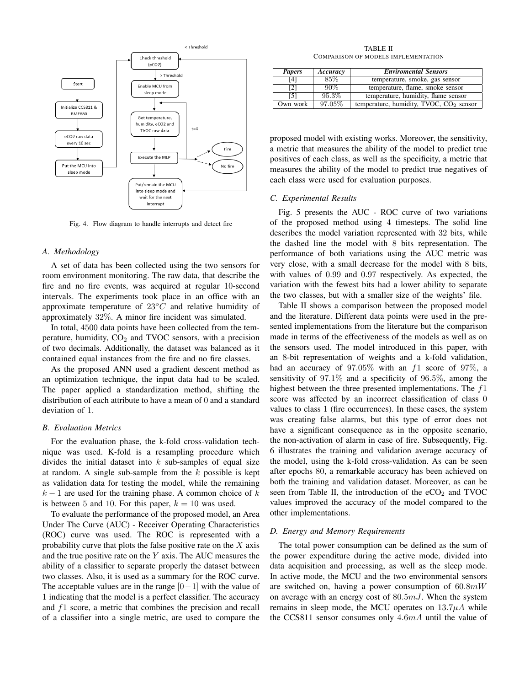

Fig. 4. Flow diagram to handle interrupts and detect fire

#### *A. Methodology*

A set of data has been collected using the two sensors for room environment monitoring. The raw data, that describe the fire and no fire events, was acquired at regular 10-second intervals. The experiments took place in an office with an approximate temperature of  $23^{\circ}$ C and relative humidity of approximately 32%. A minor fire incident was simulated.

In total, 4500 data points have been collected from the temperature, humidity,  $CO<sub>2</sub>$  and TVOC sensors, with a precision of two decimals. Additionally, the dataset was balanced as it contained equal instances from the fire and no fire classes.

As the proposed ANN used a gradient descent method as an optimization technique, the input data had to be scaled. The paper applied a standardization method, shifting the distribution of each attribute to have a mean of 0 and a standard deviation of 1.

## *B. Evaluation Metrics*

For the evaluation phase, the k-fold cross-validation technique was used. K-fold is a resampling procedure which divides the initial dataset into  $k$  sub-samples of equal size at random. A single sub-sample from the  $k$  possible is kept as validation data for testing the model, while the remaining  $k-1$  are used for the training phase. A common choice of k is between 5 and 10. For this paper,  $k = 10$  was used.

To evaluate the performance of the proposed model, an Area Under The Curve (AUC) - Receiver Operating Characteristics (ROC) curve was used. The ROC is represented with a probability curve that plots the false positive rate on the  $X$  axis and the true positive rate on the  $Y$  axis. The AUC measures the ability of a classifier to separate properly the dataset between two classes. Also, it is used as a summary for the ROC curve. The acceptable values are in the range  $[0-1]$  with the value of 1 indicating that the model is a perfect classifier. The accuracy and f1 score, a metric that combines the precision and recall of a classifier into a single metric, are used to compare the

TABLE II COMPARISON OF MODELS IMPLEMENTATION

| <b>Papers</b> | Accuracy | <b>Enviromental Sensors</b>               |
|---------------|----------|-------------------------------------------|
| [4]           | 85%      | temperature, smoke, gas sensor            |
| [2]           | $90\%$   | temperature, flame, smoke sensor          |
| [5]           | 95.3%    | temperature, humidity, flame sensor       |
| Own work      | 97.05%   | temperature, humidity, TVOC, $CO2$ sensor |

proposed model with existing works. Moreover, the sensitivity, a metric that measures the ability of the model to predict true positives of each class, as well as the specificity, a metric that measures the ability of the model to predict true negatives of each class were used for evaluation purposes.

#### *C. Experimental Results*

Fig. 5 presents the AUC - ROC curve of two variations of the proposed method using 4 timesteps. The solid line describes the model variation represented with 32 bits, while the dashed line the model with 8 bits representation. The performance of both variations using the AUC metric was very close, with a small decrease for the model with 8 bits, with values of 0.99 and 0.97 respectively. As expected, the variation with the fewest bits had a lower ability to separate the two classes, but with a smaller size of the weights' file.

Table II shows a comparison between the proposed model and the literature. Different data points were used in the presented implementations from the literature but the comparison made in terms of the effectiveness of the models as well as on the sensors used. The model introduced in this paper, with an 8-bit representation of weights and a k-fold validation, had an accuracy of  $97.05\%$  with an f1 score of  $97\%$ , a sensitivity of 97.1% and a specificity of 96.5%, among the highest between the three presented implementations. The  $f1$ score was affected by an incorrect classification of class 0 values to class 1 (fire occurrences). In these cases, the system was creating false alarms, but this type of error does not have a significant consequence as in the opposite scenario, the non-activation of alarm in case of fire. Subsequently, Fig. 6 illustrates the training and validation average accuracy of the model, using the k-fold cross-validation. As can be seen after epochs 80, a remarkable accuracy has been achieved on both the training and validation dataset. Moreover, as can be seen from Table II, the introduction of the  $eCO<sub>2</sub>$  and TVOC values improved the accuracy of the model compared to the other implementations.

#### *D. Energy and Memory Requirements*

The total power consumption can be defined as the sum of the power expenditure during the active mode, divided into data acquisition and processing, as well as the sleep mode. In active mode, the MCU and the two environmental sensors are switched on, having a power consumption of  $60.8mW$ on average with an energy cost of  $80.5 \, \text{mJ}$ . When the system remains in sleep mode, the MCU operates on  $13.7\mu A$  while the CCS811 sensor consumes only 4.6mA until the value of